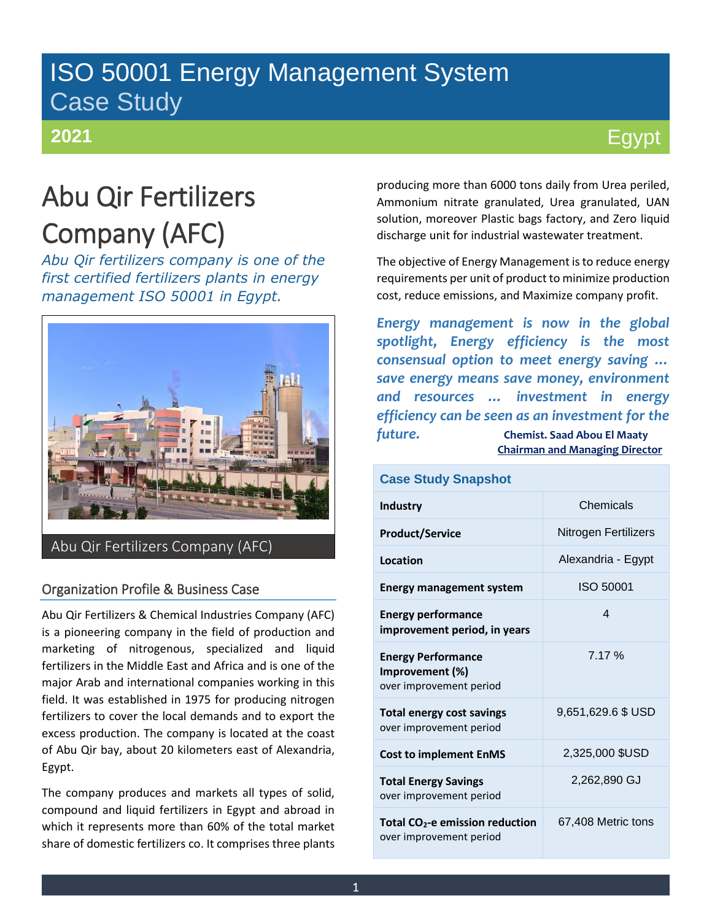# ISO 50001 Energy Management System Case Study

### **2021**

# Egypt

# Abu Qir Fertilizers Company (AFC)

*Abu Qir fertilizers company is one of the first certified fertilizers plants in energy management ISO 50001 in Egypt.*



### Organization Profile & Business Case

Abu Qir Fertilizers & Chemical Industries Company (AFC) is a pioneering company in the field of production and marketing of nitrogenous, specialized and liquid fertilizers in the Middle East and Africa and is one of the major Arab and international companies working in this field. It was established in 1975 for producing nitrogen fertilizers to cover the local demands and to export the excess production. The company is located at the coast of Abu Qir bay, about 20 kilometers east of Alexandria, Egypt.

The company produces and markets all types of solid, compound and liquid fertilizers in Egypt and abroad in which it represents more than 60% of the total market share of domestic fertilizers co. It comprises three plants producing more than 6000 tons daily from Urea periled, Ammonium nitrate granulated, Urea granulated, UAN solution, moreover Plastic bags factory, and Zero liquid discharge unit for industrial wastewater treatment.

The objective of Energy Management is to reduce energy requirements per unit of product to minimize production cost, reduce emissions, and Maximize company profit.

*Energy management is now in the global spotlight, Energy efficiency is the most consensual option to meet energy saving … save energy means save money, environment and resources … investment in energy efficiency can be seen as an investment for the future.* **Chemist. Saad Abou El Maaty Chairman and Managing Director**

### **Case Study Snapshot Industry** Chemicals **Product/Service** Nitrogen Fertilizers **Location Alexandria - Egypt Energy management system ISO 50001 Energy performance improvement period, in years**  4 **Energy Performance Improvement (%)** over improvement period 7.17 % **Total energy cost savings** over improvement period 9,651,629.6 \$ USD **Cost to implement EnMS** 2,325,000 \$USD **Total Energy Savings**  over improvement period 2,262,890 GJ **Total CO2-e emission reduction**  over improvement period 67,408 Metric tons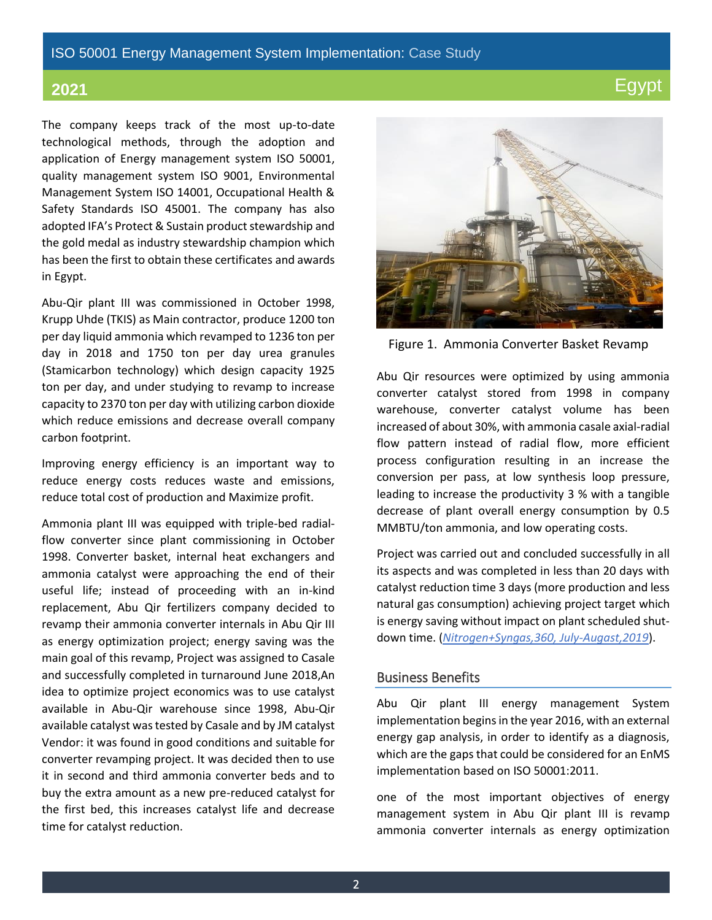#### ISO 50001 Energy Management System Implementation: Case Study

The company keeps track of the most up-to-date technological methods, through the adoption and application of Energy management system ISO 50001, quality management system ISO 9001, Environmental Management System ISO 14001, Occupational Health & Safety Standards ISO 45001. The company has also adopted IFA's Protect & Sustain product stewardship and the gold medal as industry stewardship champion which has been the first to obtain these certificates and awards in Egypt.

Abu-Qir plant III was commissioned in October 1998, Krupp Uhde (TKIS) as Main contractor, produce 1200 ton per day liquid ammonia which revamped to 1236 ton per day in 2018 and 1750 ton per day urea granules (Stamicarbon technology) which design capacity 1925 ton per day, and under studying to revamp to increase capacity to 2370 ton per day with utilizing carbon dioxide which reduce emissions and decrease overall company carbon footprint.

Improving energy efficiency is an important way to reduce energy costs reduces waste and emissions, reduce total cost of production and Maximize profit.

Ammonia plant III was equipped with triple-bed radialflow converter since plant commissioning in October 1998. Converter basket, internal heat exchangers and ammonia catalyst were approaching the end of their useful life; instead of proceeding with an in-kind replacement, Abu Qir fertilizers company decided to revamp their ammonia converter internals in Abu Qir III as energy optimization project; energy saving was the main goal of this revamp, Project was assigned to Casale and successfully completed in turnaround June 2018,An idea to optimize project economics was to use catalyst available in Abu-Qir warehouse since 1998, Abu-Qir available catalyst was tested by Casale and by JM catalyst Vendor: it was found in good conditions and suitable for converter revamping project. It was decided then to use it in second and third ammonia converter beds and to buy the extra amount as a new pre-reduced catalyst for the first bed, this increases catalyst life and decrease time for catalyst reduction.



Figure 1. Ammonia Converter Basket Revamp

Abu Qir resources were optimized by using ammonia converter catalyst stored from 1998 in company warehouse, converter catalyst volume has been increased of about 30%, with ammonia casale axial-radial flow pattern instead of radial flow, more efficient process configuration resulting in an increase the conversion per pass, at low synthesis loop pressure, leading to increase the productivity 3 % with a tangible decrease of plant overall energy consumption by 0.5 MMBTU/ton ammonia, and low operating costs.

Project was carried out and concluded successfully in all its aspects and was completed in less than 20 days with catalyst reduction time 3 days (more production and less natural gas consumption) achieving project target which is energy saving without impact on plant scheduled shutdown time. (*Nitrogen+Syngas,360, July-Augast,2019*).

#### Business Benefits

Abu Qir plant III energy management System implementation begins in the year 2016, with an external energy gap analysis, in order to identify as a diagnosis, which are the gaps that could be considered for an EnMS implementation based on ISO 50001:2011.

one of the most important objectives of energy management system in Abu Qir plant III is revamp ammonia converter internals as energy optimization

2

# **2021** Egypt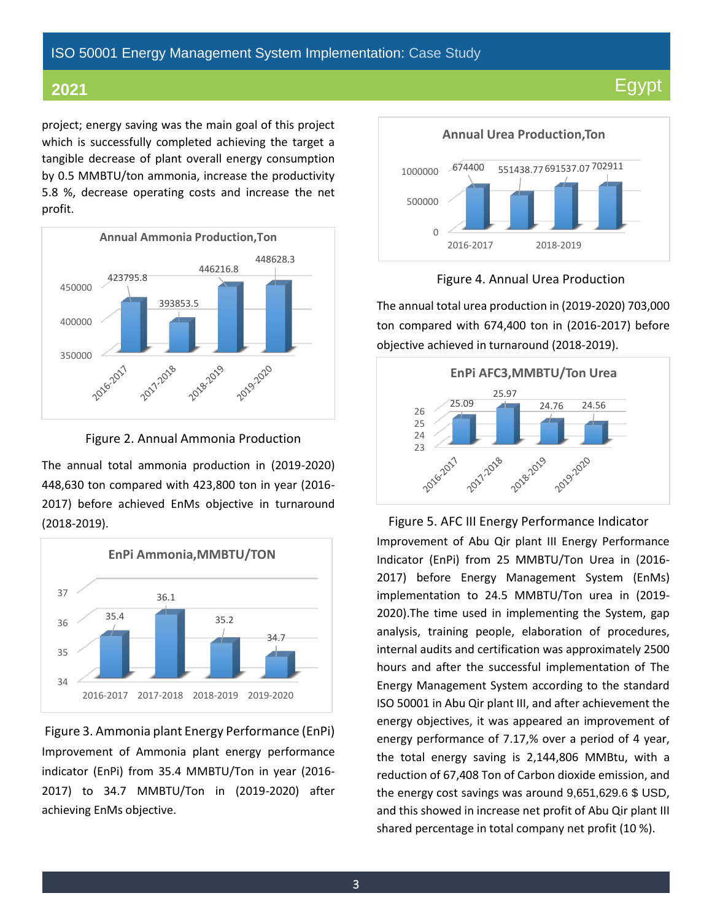### ISO 50001 Energy Management System Implementation: Case Study

# **2021** Egypt

project; energy saving was the main goal of this project which is successfully completed achieving the target a tangible decrease of plant overall energy consumption by 0.5 MMBTU/ton ammonia, increase the productivity 5.8 %, decrease operating costs and increase the net profit.



Figure 2. Annual Ammonia Production

The annual total ammonia production in (2019-2020) 448,630 ton compared with 423,800 ton in year (2016- 2017) before achieved EnMs objective in turnaround (2018-2019).



Figure 3. Ammonia plant Energy Performance (EnPi) Improvement of Ammonia plant energy performance indicator (EnPi) from 35.4 MMBTU/Ton in year (2016- 2017) to 34.7 MMBTU/Ton in (2019-2020) after achieving EnMs objective.



Figure 4. Annual Urea Production

The annual total urea production in (2019-2020) 703,000 ton compared with 674,400 ton in (2016-2017) before objective achieved in turnaround (2018-2019).



 Figure 5. AFC III Energy Performance Indicator Improvement of Abu Qir plant III Energy Performance Indicator (EnPi) from 25 MMBTU/Ton Urea in (2016- 2017) before Energy Management System (EnMs) implementation to 24.5 MMBTU/Ton urea in (2019- 2020).The time used in implementing the System, gap analysis, training people, elaboration of procedures, internal audits and certification was approximately 2500 hours and after the successful implementation of The Energy Management System according to the standard ISO 50001 in Abu Qir plant III, and after achievement the energy objectives, it was appeared an improvement of energy performance of 7.17,% over a period of 4 year, the total energy saving is 2,144,806 MMBtu, with a reduction of 67,408 Ton of Carbon dioxide emission, and the energy cost savings was around 9,651,629.6 \$ USD, and this showed in increase net profit of Abu Qir plant III shared percentage in total company net profit (10 %).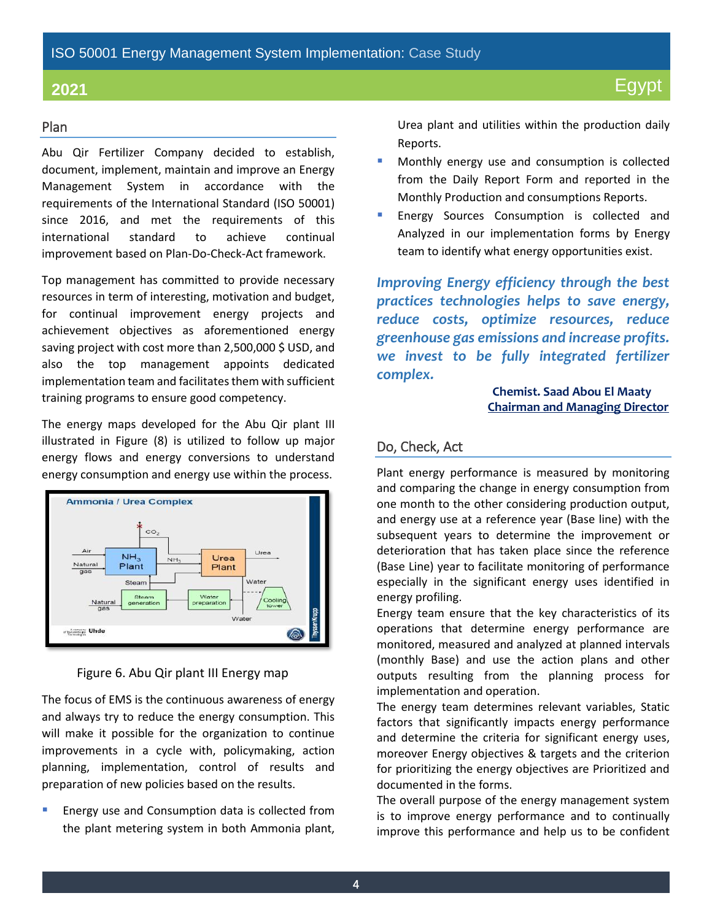#### Plan

Abu Qir Fertilizer Company decided to establish, document, implement, maintain and improve an Energy Management System in accordance with the requirements of the International Standard (ISO 50001) since 2016, and met the requirements of this international standard to achieve continual improvement based on Plan-Do-Check-Act framework.

Top management has committed to provide necessary resources in term of interesting, motivation and budget, for continual improvement energy projects and achievement objectives as aforementioned energy saving project with cost more than 2,500,000 \$ USD, and also the top management appoints dedicated implementation team and facilitates them with sufficient training programs to ensure good competency.

The energy maps developed for the Abu Qir plant III illustrated in Figure (8) is utilized to follow up major energy flows and energy conversions to understand energy consumption and energy use within the process.



Figure 6. Abu Qir plant III Energy map

The focus of EMS is the continuous awareness of energy and always try to reduce the energy consumption. This will make it possible for the organization to continue improvements in a cycle with, policymaking, action planning, implementation, control of results and preparation of new policies based on the results.

Energy use and Consumption data is collected from the plant metering system in both Ammonia plant,

Urea plant and utilities within the production daily Reports.

- Monthly energy use and consumption is collected from the Daily Report Form and reported in the Monthly Production and consumptions Reports.
- Energy Sources Consumption is collected and Analyzed in our implementation forms by Energy team to identify what energy opportunities exist.

*Improving Energy efficiency through the best practices technologies helps to save energy, reduce costs, optimize resources, reduce greenhouse gas emissions and increase profits. we invest to be fully integrated fertilizer complex.*

> **Chemist. Saad Abou El Maaty Chairman and Managing Director**

#### Do, Check, Act

Plant energy performance is measured by monitoring and comparing the change in energy consumption from one month to the other considering production output, and energy use at a reference year (Base line) with the subsequent years to determine the improvement or deterioration that has taken place since the reference (Base Line) year to facilitate monitoring of performance especially in the significant energy uses identified in energy profiling.

Energy team ensure that the key characteristics of its operations that determine energy performance are monitored, measured and analyzed at planned intervals (monthly Base) and use the action plans and other outputs resulting from the planning process for implementation and operation.

The energy team determines relevant variables, Static factors that significantly impacts energy performance and determine the criteria for significant energy uses, moreover Energy objectives & targets and the criterion for prioritizing the energy objectives are Prioritized and documented in the forms.

The overall purpose of the energy management system is to improve energy performance and to continually improve this performance and help us to be confident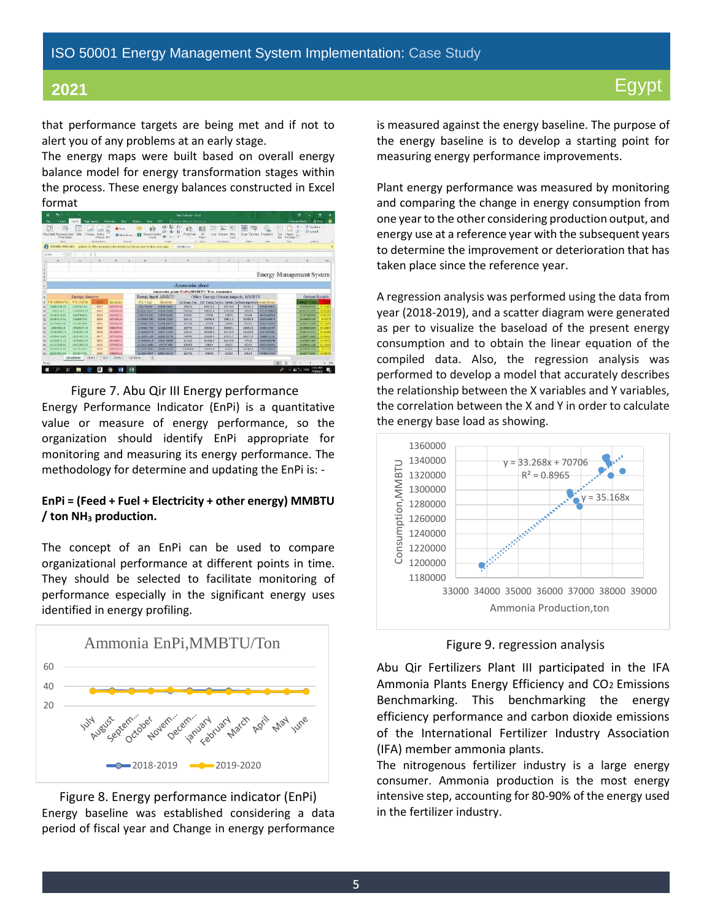that performance targets are being met and if not to alert you of any problems at an early stage.

The energy maps were built based on overall energy balance model for energy transformation stages within the process. These energy balances constructed in Excel format



Figure 7. Abu Qir III Energy performance

Energy Performance Indicator (EnPi) is a quantitative value or measure of energy performance, so the organization should identify EnPi appropriate for monitoring and measuring its energy performance. The methodology for determine and updating the EnPi is: -

#### **EnPi = (Feed + Fuel + Electricity + other energy) MMBTU / ton NH<sup>3</sup> production.**

The concept of an EnPi can be used to compare organizational performance at different points in time. They should be selected to facilitate monitoring of performance especially in the significant energy uses identified in energy profiling.



Figure 8. Energy performance indicator (EnPi) Energy baseline was established considering a data period of fiscal year and Change in energy performance is measured against the energy baseline. The purpose of the energy baseline is to develop a starting point for measuring energy performance improvements.

Plant energy performance was measured by monitoring and comparing the change in energy consumption from one year to the other considering production output, and energy use at a reference year with the subsequent years to determine the improvement or deterioration that has taken place since the reference year.

A regression analysis was performed using the data from year (2018-2019), and a scatter diagram were generated as per to visualize the baseload of the present energy consumption and to obtain the linear equation of the compiled data. Also, the regression analysis was performed to develop a model that accurately describes the relationship between the X variables and Y variables, the correlation between the X and Y in order to calculate the energy base load as showing.



#### Figure 9. regression analysis

Abu Qir Fertilizers Plant III participated in the IFA Ammonia Plants Energy Efficiency and CO2 Emissions Benchmarking. This benchmarking the energy efficiency performance and carbon dioxide emissions of the International Fertilizer Industry Association (IFA) member ammonia plants.

The nitrogenous fertilizer industry is a large energy consumer. Ammonia production is the most energy intensive step, accounting for 80-90% of the energy used in the fertilizer industry.